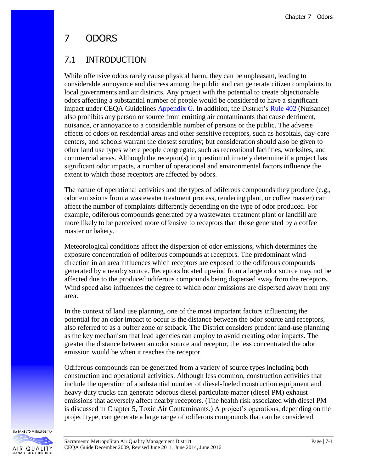# 7 ODORS

# 7.1 INTRODUCTION

While offensive odors rarely cause physical harm, they can be unpleasant, leading to considerable annoyance and distress among the public and can generate citizen complaints to local governments and air districts. Any project with the potential to create objectionable odors affecting a substantial number of people would be considered to have a significant impact under CEQA Guidelines [Appendix](http://www.airquality.org/Businesses/CEQA-Land-Use-Planning/CEQA-Guidance-Tools) G. In addition, the District's [Rule 402](http://www.airquality.org/Businesses/Rules-Regulations) (Nuisance) also prohibits any person or source from emitting air contaminants that cause detriment, nuisance, or annoyance to a considerable number of persons or the public. The adverse effects of odors on residential areas and other sensitive receptors, such as hospitals, day-care centers, and schools warrant the closest scrutiny; but consideration should also be given to other land use types where people congregate, such as recreational facilities, worksites, and commercial areas. Although the receptor(s) in question ultimately determine if a project has significant odor impacts, a number of operational and environmental factors influence the extent to which those receptors are affected by odors.

The nature of operational activities and the types of odiferous compounds they produce (e.g., odor emissions from a wastewater treatment process, rendering plant, or coffee roaster) can affect the number of complaints differently depending on the type of odor produced. For example, odiferous compounds generated by a wastewater treatment plant or landfill are more likely to be perceived more offensive to receptors than those generated by a coffee roaster or bakery.

Meteorological conditions affect the dispersion of odor emissions, which determines the exposure concentration of odiferous compounds at receptors. The predominant wind direction in an area influences which receptors are exposed to the odiferous compounds generated by a nearby source. Receptors located upwind from a large odor source may not be affected due to the produced odiferous compounds being dispersed away from the receptors. Wind speed also influences the degree to which odor emissions are dispersed away from any area.

In the context of land use planning, one of the most important factors influencing the potential for an odor impact to occur is the distance between the odor source and receptors, also referred to as a buffer zone or setback. The District considers prudent land-use planning as the key mechanism that lead agencies can employ to avoid creating odor impacts. The greater the distance between an odor source and receptor, the less concentrated the odor emission would be when it reaches the receptor.

Odiferous compounds can be generated from a variety of source types including both construction and operational activities. Although less common, construction activities that include the operation of a substantial number of diesel-fueled construction equipment and heavy-duty trucks can generate odorous diesel particulate matter (diesel PM) exhaust emissions that adversely affect nearby receptors. (The health risk associated with diesel PM is discussed in Chapter 5, Toxic Air Contaminants.) A project's operations, depending on the project type, can generate a large range of odiferous compounds that can be considered

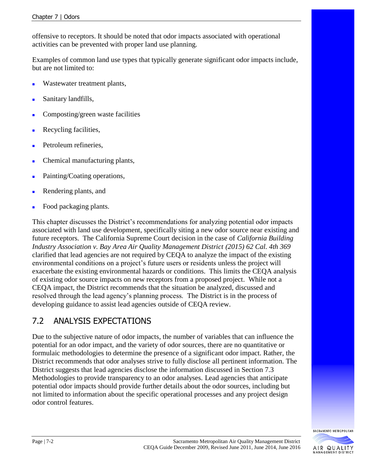offensive to receptors. It should be noted that odor impacts associated with operational activities can be prevented with proper land use planning.

Examples of common land use types that typically generate significant odor impacts include, but are not limited to:

- Wastewater treatment plants,
- Sanitary landfills,
- Composting/green waste facilities
- Recycling facilities,
- Petroleum refineries,
- Chemical manufacturing plants,
- Painting/Coating operations,
- Rendering plants, and
- Food packaging plants.

This chapter discusses the District's recommendations for analyzing potential odor impacts associated with land use development, specifically siting a new odor source near existing and future receptors. The California Supreme Court decision in the case of *California Building Industry Association v. Bay Area Air Quality Management District (2015) 62 Cal. 4th 369* clarified that lead agencies are not required by CEQA to analyze the impact of the existing environmental conditions on a project's future users or residents unless the project will exacerbate the existing environmental hazards or conditions. This limits the CEQA analysis of existing odor source impacts on new receptors from a proposed project. While not a CEQA impact, the District recommends that the situation be analyzed, discussed and resolved through the lead agency's planning process. The District is in the process of developing guidance to assist lead agencies outside of CEQA review.

### 7.2 ANALYSIS EXPECTATIONS

Due to the subjective nature of odor impacts, the number of variables that can influence the potential for an odor impact, and the variety of odor sources, there are no quantitative or formulaic methodologies to determine the presence of a significant odor impact. Rather, the District recommends that odor analyses strive to fully disclose all pertinent information. The District suggests that lead agencies disclose the information discussed in Section 7.3 Methodologies to provide transparency to an odor analyses. Lead agencies that anticipate potential odor impacts should provide further details about the odor sources, including but not limited to information about the specific operational processes and any project design odor control features.



**MANAGEMENT DISTRICT**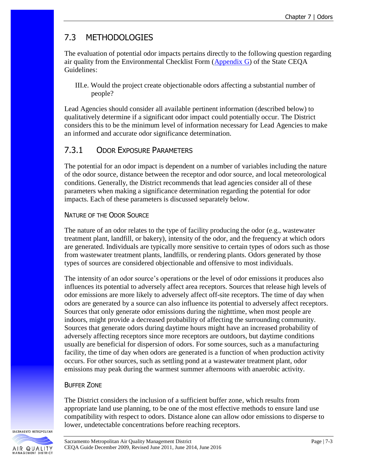# 7.3 METHODOLOGIES

The evaluation of potential odor impacts pertains directly to the following question regarding air quality from the Environmental Checklist Form [\(Appendix G\)](http://www.airquality.org/Businesses/CEQA-Land-Use-Planning/CEQA-Guidance-Tools) of the State CEQA Guidelines:

III.e. Would the project create objectionable odors affecting a substantial number of people?

Lead Agencies should consider all available pertinent information (described below) to qualitatively determine if a significant odor impact could potentially occur. The District considers this to be the minimum level of information necessary for Lead Agencies to make an informed and accurate odor significance determination.

### 7.3.1 ODOR EXPOSURE PARAMETERS

The potential for an odor impact is dependent on a number of variables including the nature of the odor source, distance between the receptor and odor source, and local meteorological conditions. Generally, the District recommends that lead agencies consider all of these parameters when making a significance determination regarding the potential for odor impacts. Each of these parameters is discussed separately below.

#### NATURE OF THE ODOR SOURCE

The nature of an odor relates to the type of facility producing the odor (e.g., wastewater treatment plant, landfill, or bakery), intensity of the odor, and the frequency at which odors are generated. Individuals are typically more sensitive to certain types of odors such as those from wastewater treatment plants, landfills, or rendering plants. Odors generated by those types of sources are considered objectionable and offensive to most individuals.

The intensity of an odor source's operations or the level of odor emissions it produces also influences its potential to adversely affect area receptors. Sources that release high levels of odor emissions are more likely to adversely affect off-site receptors. The time of day when odors are generated by a source can also influence its potential to adversely affect receptors. Sources that only generate odor emissions during the nighttime, when most people are indoors, might provide a decreased probability of affecting the surrounding community. Sources that generate odors during daytime hours might have an increased probability of adversely affecting receptors since more receptors are outdoors, but daytime conditions usually are beneficial for dispersion of odors. For some sources, such as a manufacturing facility, the time of day when odors are generated is a function of when production activity occurs. For other sources, such as settling pond at a wastewater treatment plant, odor emissions may peak during the warmest summer afternoons with anaerobic activity.

#### BUFFER ZONE

The District considers the inclusion of a sufficient buffer zone, which results from appropriate land use planning, to be one of the most effective methods to ensure land use compatibility with respect to odors. Distance alone can allow odor emissions to disperse to lower, undetectable concentrations before reaching receptors.

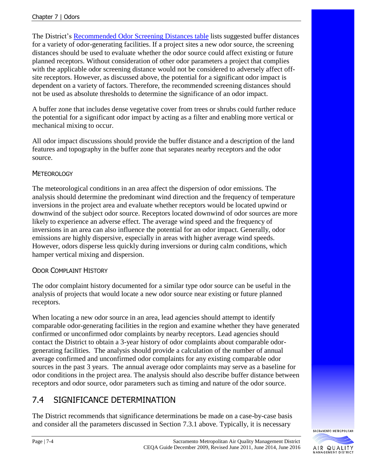The District's Recommended [Odor Screening Distances](http://www.airquality.org/Businesses/CEQA-Land-Use-Planning/CEQA-Guidance-Tools) table lists suggested buffer distances for a variety of odor-generating facilities. If a project sites a new odor source, the screening distances should be used to evaluate whether the odor source could affect existing or future planned receptors. Without consideration of other odor parameters a project that complies with the applicable odor screening distance would not be considered to adversely affect offsite receptors. However, as discussed above, the potential for a significant odor impact is dependent on a variety of factors. Therefore, the recommended screening distances should not be used as absolute thresholds to determine the significance of an odor impact.

A buffer zone that includes dense vegetative cover from trees or shrubs could further reduce the potential for a significant odor impact by acting as a filter and enabling more vertical or mechanical mixing to occur.

All odor impact discussions should provide the buffer distance and a description of the land features and topography in the buffer zone that separates nearby receptors and the odor source.

#### **METEOROLOGY**

The meteorological conditions in an area affect the dispersion of odor emissions. The analysis should determine the predominant wind direction and the frequency of temperature inversions in the project area and evaluate whether receptors would be located upwind or downwind of the subject odor source. Receptors located downwind of odor sources are more likely to experience an adverse effect. The average wind speed and the frequency of inversions in an area can also influence the potential for an odor impact. Generally, odor emissions are highly dispersive, especially in areas with higher average wind speeds. However, odors disperse less quickly during inversions or during calm conditions, which hamper vertical mixing and dispersion.

#### ODOR COMPLAINT HISTORY

The odor complaint history documented for a similar type odor source can be useful in the analysis of projects that would locate a new odor source near existing or future planned receptors.

When locating a new odor source in an area, lead agencies should attempt to identify comparable odor-generating facilities in the region and examine whether they have generated confirmed or unconfirmed odor complaints by nearby receptors. Lead agencies should contact the District to obtain a 3-year history of odor complaints about comparable odorgenerating facilities. The analysis should provide a calculation of the number of annual average confirmed and unconfirmed odor complaints for any existing comparable odor sources in the past 3 years. The annual average odor complaints may serve as a baseline for odor conditions in the project area. The analysis should also describe buffer distance between receptors and odor source, odor parameters such as timing and nature of the odor source.

# 7.4 SIGNIFICANCE DETERMINATION

The District recommends that significance determinations be made on a case-by-case basis and consider all the parameters discussed in Section 7.3.1 above. Typically, it is necessary

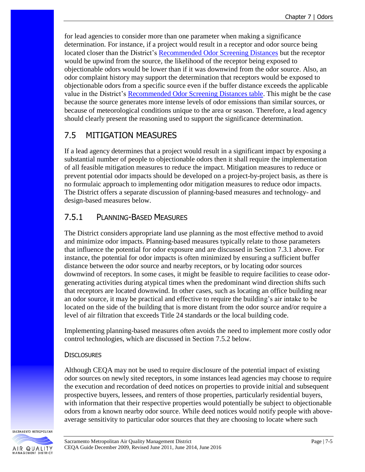for lead agencies to consider more than one parameter when making a significance determination. For instance, if a project would result in a receptor and odor source being located closer than the District's [Recommended Odor Screening Distances](http://www.airquality.org/Businesses/CEQA-Land-Use-Planning/CEQA-Guidance-Tools) but the receptor would be upwind from the source, the likelihood of the receptor being exposed to objectionable odors would be lower than if it was downwind from the odor source. Also, an odor complaint history may support the determination that receptors would be exposed to objectionable odors from a specific source even if the buffer distance exceeds the applicable value in the District's [Recommended Odor Screening Distances table.](http://www.airquality.org/Businesses/CEQA-Land-Use-Planning/CEQA-Guidance-Tools) This might be the case because the source generates more intense levels of odor emissions than similar sources, or because of meteorological conditions unique to the area or season. Therefore, a lead agency should clearly present the reasoning used to support the significance determination.

## 7.5 MITIGATION MEASURES

If a lead agency determines that a project would result in a significant impact by exposing a substantial number of people to objectionable odors then it shall require the implementation of all feasible mitigation measures to reduce the impact. Mitigation measures to reduce or prevent potential odor impacts should be developed on a project-by-project basis, as there is no formulaic approach to implementing odor mitigation measures to reduce odor impacts. The District offers a separate discussion of planning-based measures and technology- and design-based measures below.

### 7.5.1 PLANNING-BASED MEASURES

The District considers appropriate land use planning as the most effective method to avoid and minimize odor impacts. Planning-based measures typically relate to those parameters that influence the potential for odor exposure and are discussed in Section 7.3.1 above. For instance, the potential for odor impacts is often minimized by ensuring a sufficient buffer distance between the odor source and nearby receptors, or by locating odor sources downwind of receptors. In some cases, it might be feasible to require facilities to cease odorgenerating activities during atypical times when the predominant wind direction shifts such that receptors are located downwind. In other cases, such as locating an office building near an odor source, it may be practical and effective to require the building's air intake to be located on the side of the building that is more distant from the odor source and/or require a level of air filtration that exceeds Title 24 standards or the local building code.

Implementing planning-based measures often avoids the need to implement more costly odor control technologies, which are discussed in Section 7.5.2 below.

#### **DISCLOSURES**

Although CEQA may not be used to require disclosure of the potential impact of existing odor sources on newly sited receptors, in some instances lead agencies may choose to require the execution and recordation of deed notices on properties to provide initial and subsequent prospective buyers, lessees, and renters of those properties, particularly residential buyers, with information that their respective properties would potentially be subject to objectionable odors from a known nearby odor source. While deed notices would notify people with aboveaverage sensitivity to particular odor sources that they are choosing to locate where such